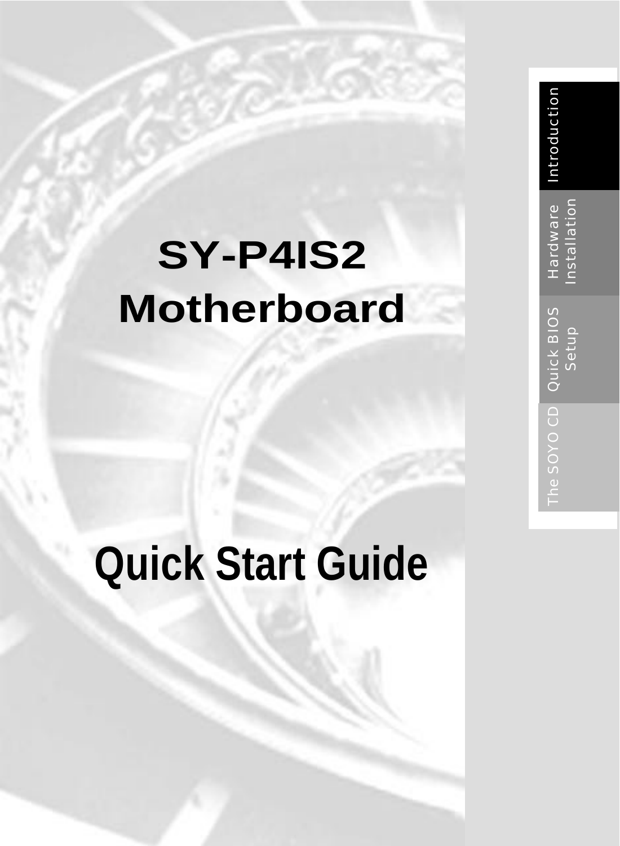# **SY -P4IS2 Motherboard**

# **Quick Start Guide**

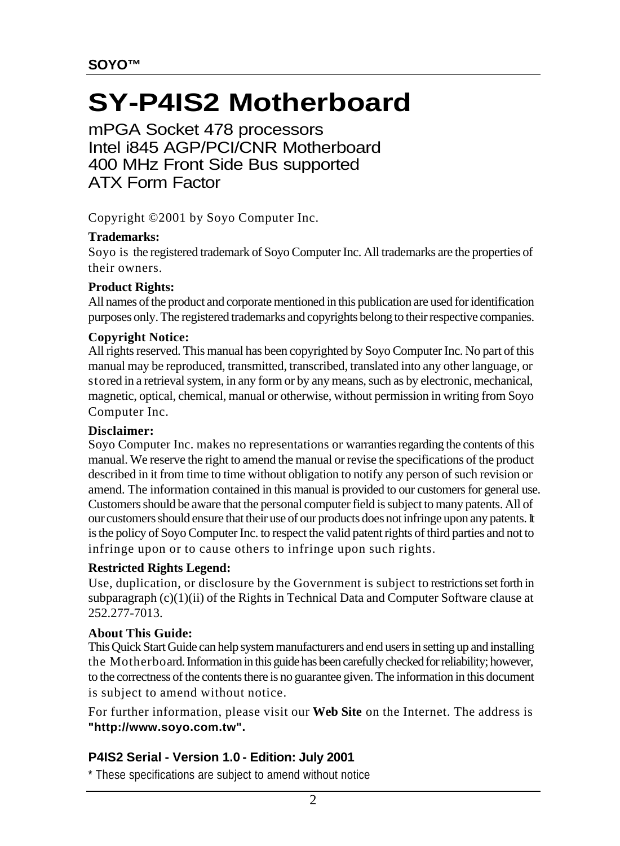## **SY-P4IS2 Motherboard**

mPGA Socket 478 processors Intel i845 AGP/PCI/CNR Motherboard 400 MHz Front Side Bus supported ATX Form Factor

Copyright © 2001 by Soyo Computer Inc.

#### **Trademarks:**

Soyo is the registered trademark of Soyo Computer Inc. All trademarks are the properties of their owners.

#### **Product Rights:**

All names of the product and corporate mentioned in this publication are used for identification purposes only. The registered trademarks and copyrights belong to their respective companies.

#### **Copyright Notice:**

All rights reserved. This manual has been copyrighted by Soyo Computer Inc. No part of this manual may be reproduced, transmitted, transcribed, translated into any other language, or stored in a retrieval system, in any form or by any means, such as by electronic, mechanical, magnetic, optical, chemical, manual or otherwise, without permission in writing from Soyo Computer Inc.

#### **Disclaimer:**

Soyo Computer Inc. makes no representations or warranties regarding the contents of this manual. We reserve the right to amend the manual or revise the specifications of the product described in it from time to time without obligation to notify any person of such revision or amend. The information contained in this manual is provided to our customers for general use. Customers should be aware that the personal computer field is subject to many patents. All of our customers should ensure that their use of our products does not infringe upon any patents. It is the policy of Soyo Computer Inc. to respect the valid patent rights of third parties and not to infringe upon or to cause others to infringe upon such rights.

#### **Restricted Rights Legend:**

Use, duplication, or disclosure by the Government is subject to restrictions set forth in subparagraph  $(c)(1)(ii)$  of the Rights in Technical Data and Computer Software clause at 252.277-7013.

#### **About This Guide:**

This Quick Start Guide can help system manufacturers and end users in setting up and installing the Motherboard. Information in this guide has been carefully checked for reliability; however, to the correctness of the contents there is no guarantee given. The information in this document is subject to amend without notice.

For further information, please visit our **Web Site** on the Internet. The address is **"http://www.soyo.com.tw".**

#### **P4IS2 Serial - Version 1.0 - Edition: July 2001**

\* These specifications are subject to amend without notice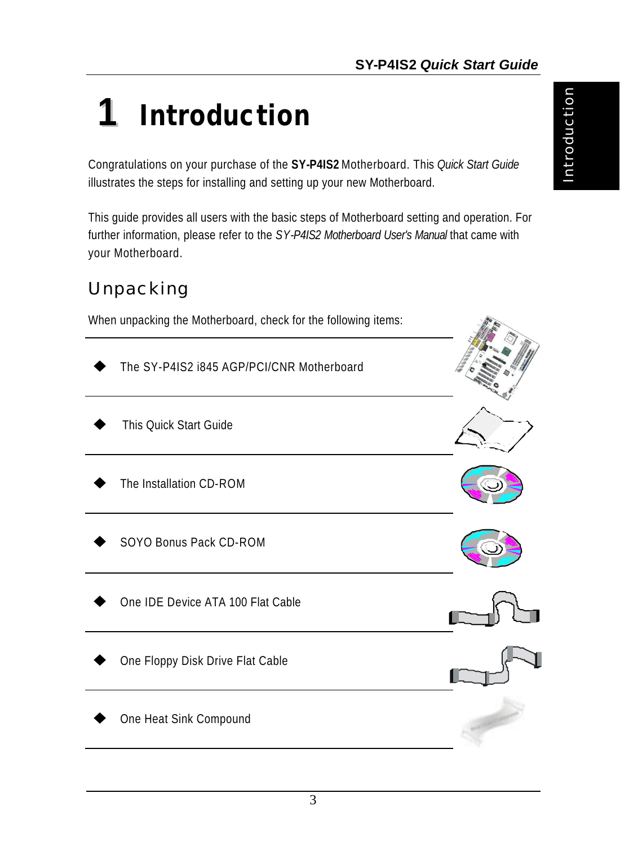# **1** *Introduction*

Congratulations on your purchase of the **SY-P4IS2** Motherboard. This *Quick Start Guide* illustrates the steps for installing and setting up your new Motherboard.

This guide provides all users with the basic steps of Motherboard setting and operation. For further information, please refer to the *SY-P4IS2 Motherboard User's Manual* that came with your Motherboard.

## *Unpacking*

When unpacking the Motherboard, check for the following items:

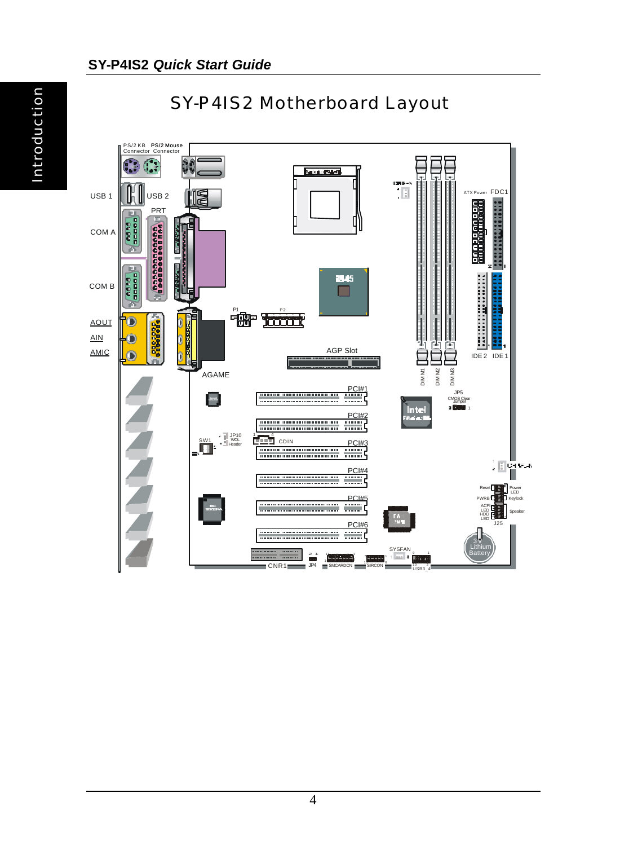Introduction



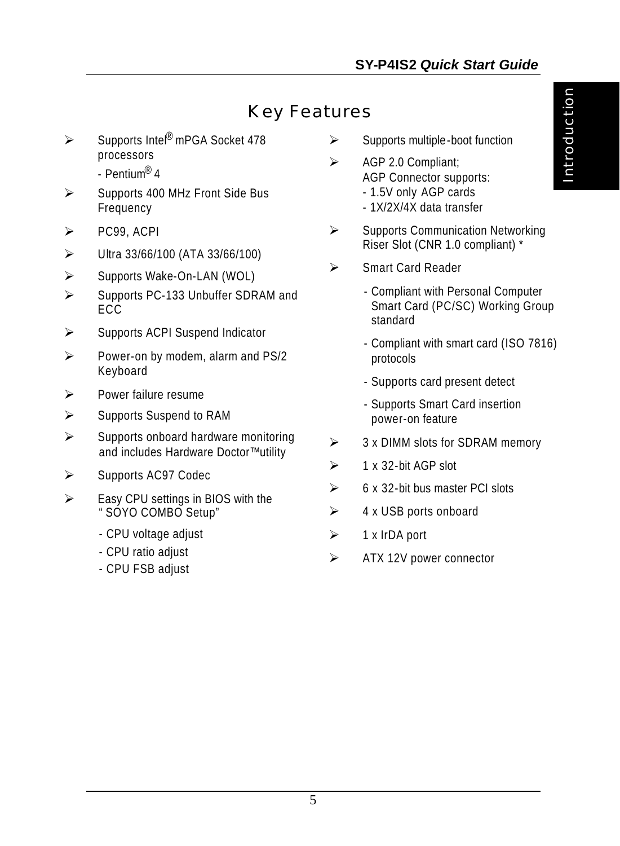## *Key Features*

- ÿ Supports Intel® mPGA Socket 478 processors
	- Pentium® 4
- $\triangleright$  Supports 400 MHz Front Side Bus Frequency
- $\triangleright$  PC99, ACPI
- $\triangleright$  Ultra 33/66/100 (ATA 33/66/100)
- ÿ Supports Wake-On-LAN (WOL)
- ▶ Supports PC-133 Unbuffer SDRAM and ECC.
- $\triangleright$  Supports ACPI Suspend Indicator
- $\triangleright$  Power-on by modem, alarm and PS/2 Keyboard
- $\triangleright$  Power failure resume
- $\triangleright$  Supports Suspend to RAM
- $\triangleright$  Supports onboard hardware monitoring and includes Hardware Doctor™ utility
- $\triangleright$  Supports AC97 Codec
- $\triangleright$  Easy CPU settings in BIOS with the "SOYO COMBO Setup"
	- CPU voltage adjust
	- CPU ratio adjust
	- CPU FSB adjust
- $\triangleright$  Supports multiple-boot function
- $\triangleright$  AGP 2.0 Compliant: AGP Connector supports:
	- 1.5V only AGP cards - 1X/2X/4X data transfer
	-
- $\triangleright$  Supports Communication Networking Riser Slot (CNR 1.0 compliant) \*
- ÿ Smart Card Reader
	- Compliant with Personal Computer Smart Card (PC/SC) Working Group standard
	- Compliant with smart card (ISO 7816) protocols
	- Supports card present detect
	- Supports Smart Card insertion power-on feature
- $\geq$  3 x DIMM slots for SDRAM memory
- $\geq 1$  x 32-bit AGP slot
- $\geq$  6 x 32-bit bus master PCI slots
- $\triangleright$  4 x USB ports onboard
- $\geq$  1 x IrDA port
- $\triangleright$  ATX 12V power connector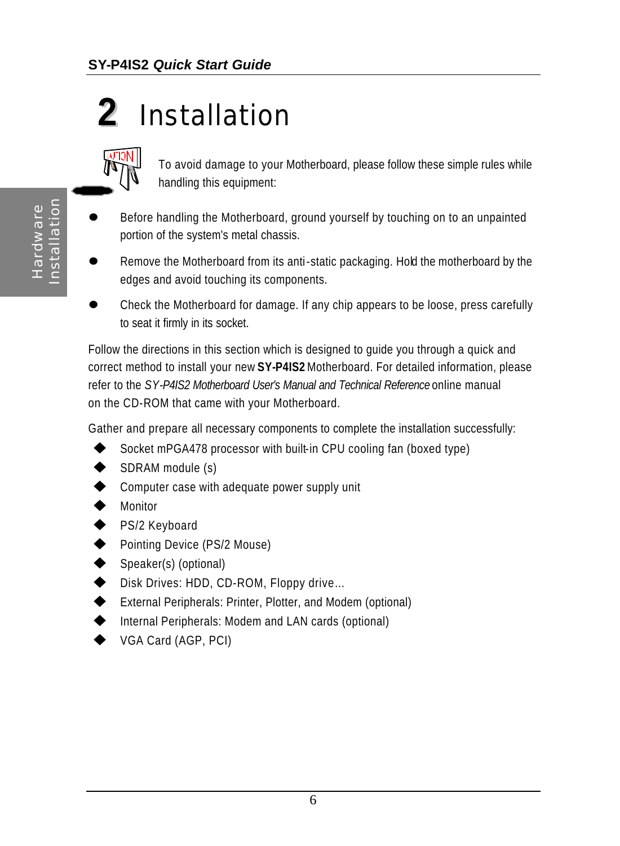## **2** *Installation*



To avoid damage to your Motherboard, please follow these simple rules while handling this equipment:

- Before handling the Motherboard, ground yourself by touching on to an unpainted portion of the system's metal chassis.
- Remove the Motherboard from its anti-static packaging. Hold the motherboard by the edges and avoid touching its components.
- l Check the Motherboard for damage. If any chip appears to be loose, press carefully to seat it firmly in its socket.

Follow the directions in this section which is designed to guide you through a quick and correct method to install your new **SY-P4IS2** Motherboard. For detailed information, please refer to the *SY-P4IS2 Motherboard User's Manual and Technical Reference* online manual on the CD-ROM that came with your Motherboard.

Gather and prepare all necessary components to complete the installation successfully:

- Socket mPGA478 processor with built-in CPU cooling fan (boxed type)
- SDRAM module (s)
- $\blacklozenge$  Computer case with adequate power supply unit
- $\blacklozenge$  Monitor
- ◆ PS/2 Keyboard
- Pointing Device (PS/2 Mouse)
- Speaker(s) (optional)
- ◆ Disk Drives: HDD, CD-ROM, Floppy drive...
- ◆ External Peripherals: Printer, Plotter, and Modem (optional)
- $\blacklozenge$  Internal Peripherals: Modem and LAN cards (optional)
- VGA Card (AGP, PCI)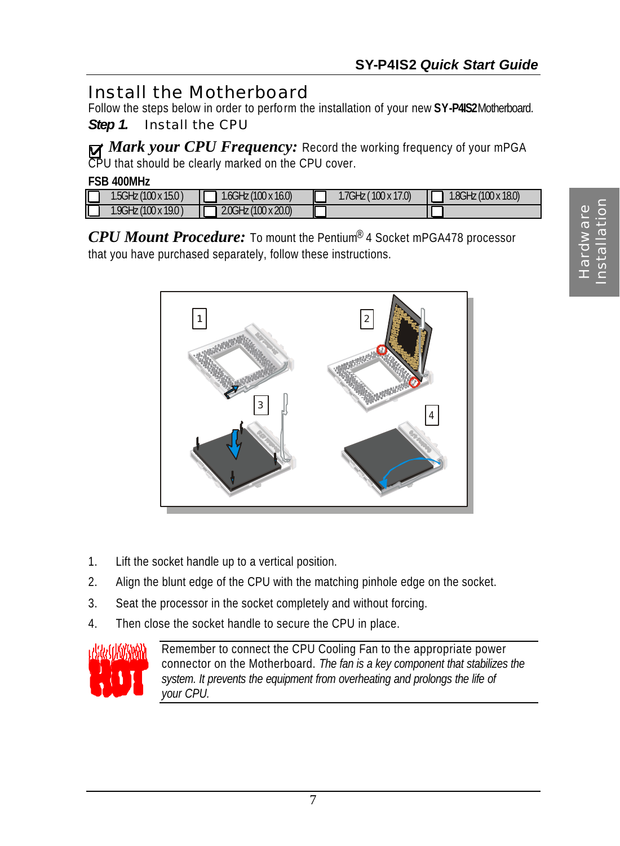## *Install the Motherboard*

Follow the steps below in order to perform the installation of your new **SY-P4IS2** Motherboard.

*Step 1.* Install the CPU

*Mark your CPU Frequency:* Record the working frequency of your mPGA CPU that should be clearly marked on the CPU cover.

| <b>FSB 400MHz</b>    |                                    |                     |                               |
|----------------------|------------------------------------|---------------------|-------------------------------|
| 1.5GHz (100 x 15.0 ) | $\blacksquare$ 1.6GHz (100 x 16.0) | 1.7GHz (100 x 17.0) | $1.8$ GHz $(100 \times 18.0)$ |
| 1.9GHz (100 x 19.0)  | $2.0$ GHz (100 x 20.0)             |                     |                               |

*CPU Mount Procedure:* To mount the Pentium® 4 Socket mPGA478 processor that you have purchased separately, follow these instructions.



- 1. Lift the socket handle up to a vertical position.
- 2. Align the blunt edge of the CPU with the matching pinhole edge on the socket.
- 3. Seat the processor in the socket completely and without forcing.
- 4. Then close the socket handle to secure the CPU in place.



Remember to connect the CPU Cooling Fan to the appropriate power connector on the Motherboard. *The fan is a key component that stabilizes the system. It prevents the equipment from overheating and prolongs the life of your CPU.*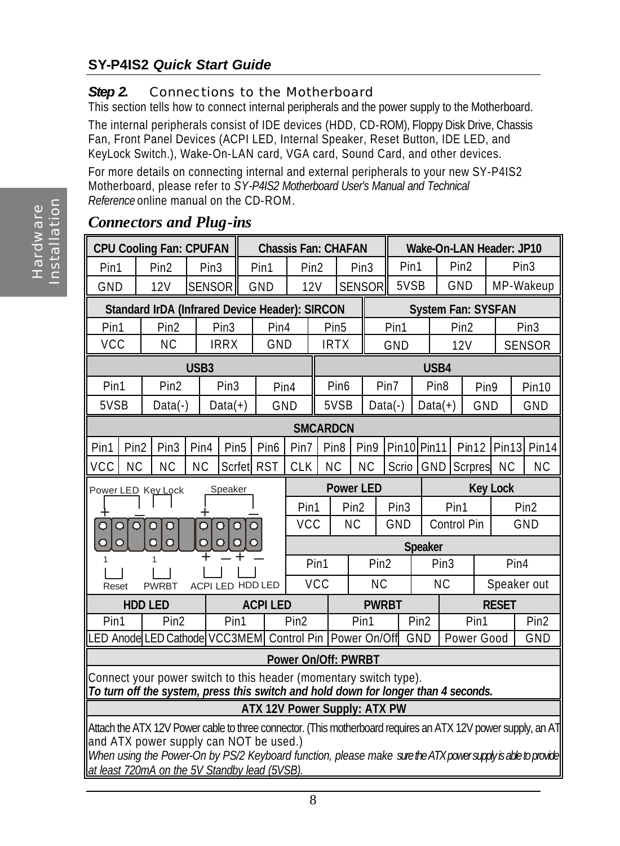#### **SY-P4IS2** *Quick Start Guide*

#### **Step 2.** Connections to the Motherboard

This section tells how to connect internal peripherals and the power supply to the Motherboard.

The internal peripherals consist of IDE devices (HDD, CD-ROM), Floppy Disk Drive, Chassis Fan, Front Panel Devices (ACPI LED, Internal Speaker, Reset Button, IDE LED, and KeyLock Switch.), Wake-On-LAN card, VGA card, Sound Card, and other devices.

For more details on connecting internal and external peripherals to your new SY-P4IS2 Motherboard, please refer to *SY-P4IS2 Motherboard User's Manual and Technical Reference* online manual on the CD-ROM.

|         |                                              | <b>CPU Cooling Fan: CPUFAN</b>                                                                                                                         |                    |                     | <b>Chassis Fan: CHAFAN</b>          |                             |                  |                  |                        | <b>Wake-On-LAN Header: JP10</b> |                  |                                      |                           |                  |                  |                   |
|---------|----------------------------------------------|--------------------------------------------------------------------------------------------------------------------------------------------------------|--------------------|---------------------|-------------------------------------|-----------------------------|------------------|------------------|------------------------|---------------------------------|------------------|--------------------------------------|---------------------------|------------------|------------------|-------------------|
| Pin1    |                                              | Pin <sub>2</sub>                                                                                                                                       | Pin <sub>3</sub>   |                     | Pin1                                | Pin <sub>2</sub>            |                  |                  | Pin <sub>3</sub>       | Pin1                            |                  |                                      | Pin <sub>2</sub>          |                  | Pin <sub>3</sub> |                   |
| GND     |                                              | 12V                                                                                                                                                    | <b>SENSOR</b>      |                     | GND                                 | 12V                         |                  |                  | <b>SENSOR</b>          | 5VSB                            |                  |                                      | GND                       |                  |                  | MP-Wakeup         |
|         |                                              | <b>Standard IrDA (Infrared Device Header): SIRCON</b>                                                                                                  |                    |                     |                                     |                             |                  |                  |                        |                                 |                  |                                      | <b>System Fan: SYSFAN</b> |                  |                  |                   |
| Pin1    |                                              | Pin2                                                                                                                                                   |                    | Pin <sub>3</sub>    | Pin4                                |                             |                  | Pin <sub>5</sub> |                        | Pin1                            |                  |                                      | Pin <sub>2</sub>          |                  |                  | Pin <sub>3</sub>  |
| VCC     |                                              | <b>NC</b>                                                                                                                                              |                    | <b>IRRX</b>         | GND                                 |                             |                  | <b>IRTX</b>      |                        | GND                             |                  |                                      | 12V                       |                  |                  | <b>SENSOR</b>     |
|         |                                              |                                                                                                                                                        | USB <sub>3</sub>   |                     |                                     |                             | USB4             |                  |                        |                                 |                  |                                      |                           |                  |                  |                   |
|         | Pin <sub>2</sub><br>Pin <sub>3</sub><br>Pin1 |                                                                                                                                                        |                    |                     | Pin4                                |                             |                  | Pin <sub>6</sub> |                        | Pin7                            |                  | Pin <sub>8</sub><br>Pin <sub>9</sub> |                           |                  | Pin10            |                   |
| 5VSB    |                                              | $Data(-)$                                                                                                                                              |                    | $Data(+)$           | GND                                 |                             |                  | 5VSB             |                        | $Data(-)$                       |                  | $Data(+)$<br>GND                     |                           |                  | GND              |                   |
|         |                                              |                                                                                                                                                        |                    |                     |                                     | <b>SMCARDCN</b>             |                  |                  |                        |                                 |                  |                                      |                           |                  |                  |                   |
| Pin1    | Pin <sub>2</sub>                             | Pin <sub>3</sub>                                                                                                                                       | Pin4               | Pin <sub>5</sub>    | Pin6                                | Pin7                        | Pin <sub>8</sub> |                  | Pin <sub>9</sub>       | Pin10 Pin11                     |                  |                                      | Pin12                     | Pin13            |                  | Pin <sub>14</sub> |
| VCC     | <b>NC</b>                                    | <b>NC</b>                                                                                                                                              | <b>NC</b>          | Scrfet              | <b>RST</b>                          | <b>CLK</b>                  | <b>NC</b>        |                  | <b>NC</b>              | Scrio                           | GND              |                                      | <b>Scrpres</b>            | <b>NC</b>        |                  | <b>NC</b>         |
|         |                                              | Power LED Key Lock                                                                                                                                     |                    | Speaker             |                                     | <b>Power LED</b>            |                  |                  | <b>Key Lock</b>        |                                 |                  |                                      |                           |                  |                  |                   |
|         |                                              |                                                                                                                                                        |                    |                     |                                     | Pin1                        |                  | Pin2             |                        | Pin <sub>3</sub>                |                  | Pin1                                 |                           |                  |                  | Pin <sub>2</sub>  |
|         | $\circ$<br>$\circ$                           | $\circ$<br>$\Omega$                                                                                                                                    | $\overline{\circ}$ | $\circ$<br>$\Omega$ | $\circ$                             | <b>VCC</b>                  |                  | <b>NC</b>        |                        | GND                             |                  |                                      | Control Pin               |                  |                  | GND               |
| $\circ$ | $\circ$                                      | O<br>$\overline{O}$                                                                                                                                    | Ō                  | O<br>O              | $\circ$                             |                             |                  |                  |                        |                                 | <b>Speaker</b>   |                                      |                           |                  |                  |                   |
|         |                                              | 1                                                                                                                                                      |                    |                     |                                     | Pin1                        |                  |                  | Pin <sub>2</sub>       |                                 |                  | Pin <sub>3</sub>                     |                           | Pin <sub>4</sub> |                  |                   |
| Reset   |                                              | <b>PWRBT</b>                                                                                                                                           |                    |                     | <b>VCC</b><br>ACPI LED HDD LED      |                             |                  |                  | <b>NC</b><br><b>NC</b> |                                 |                  |                                      | Speaker out               |                  |                  |                   |
|         |                                              | <b>HDD LED</b>                                                                                                                                         |                    |                     | <b>ACPILED</b>                      |                             | <b>PWRBT</b>     |                  |                        | <b>RESET</b>                    |                  |                                      |                           |                  |                  |                   |
| Pin1    |                                              | Pin <sub>2</sub>                                                                                                                                       |                    | Pin1                |                                     | Pin <sub>2</sub>            |                  |                  | Pin1                   |                                 | Pin <sub>2</sub> |                                      | Pin1                      |                  |                  | Pin <sub>2</sub>  |
|         |                                              | LED Anode LED Cathode VCC3MEM                                                                                                                          |                    |                     |                                     | Control Pin<br>Power On/Off |                  |                  | GND                    | Power Good<br>GND               |                  |                                      |                           |                  |                  |                   |
|         |                                              |                                                                                                                                                        |                    |                     |                                     | <b>Power On/Off: PWRBT</b>  |                  |                  |                        |                                 |                  |                                      |                           |                  |                  |                   |
|         |                                              | Connect your power switch to this header (momentary switch type).                                                                                      |                    |                     |                                     |                             |                  |                  |                        |                                 |                  |                                      |                           |                  |                  |                   |
|         |                                              | To turn off the system, press this switch and hold down for longer than 4 seconds.                                                                     |                    |                     |                                     |                             |                  |                  |                        |                                 |                  |                                      |                           |                  |                  |                   |
|         |                                              |                                                                                                                                                        |                    |                     | <b>ATX 12V Power Supply: ATX PW</b> |                             |                  |                  |                        |                                 |                  |                                      |                           |                  |                  |                   |
|         |                                              | Attach the ATX 12V Power cable to three connector. (This motherboard requires an ATX 12V power supply, an AT<br>and ATX power supply can NOT be used.) |                    |                     |                                     |                             |                  |                  |                        |                                 |                  |                                      |                           |                  |                  |                   |
|         |                                              | When using the Power-On by PS/2 Keyboard function, please make sure the ATX power supply is able to provide                                            |                    |                     |                                     |                             |                  |                  |                        |                                 |                  |                                      |                           |                  |                  |                   |
|         |                                              | at least 720mA on the 5V Standby lead (5VSB).                                                                                                          |                    |                     |                                     |                             |                  |                  |                        |                                 |                  |                                      |                           |                  |                  |                   |

#### *Connectors and Plug-ins*

Hardware Hardware<br>Installation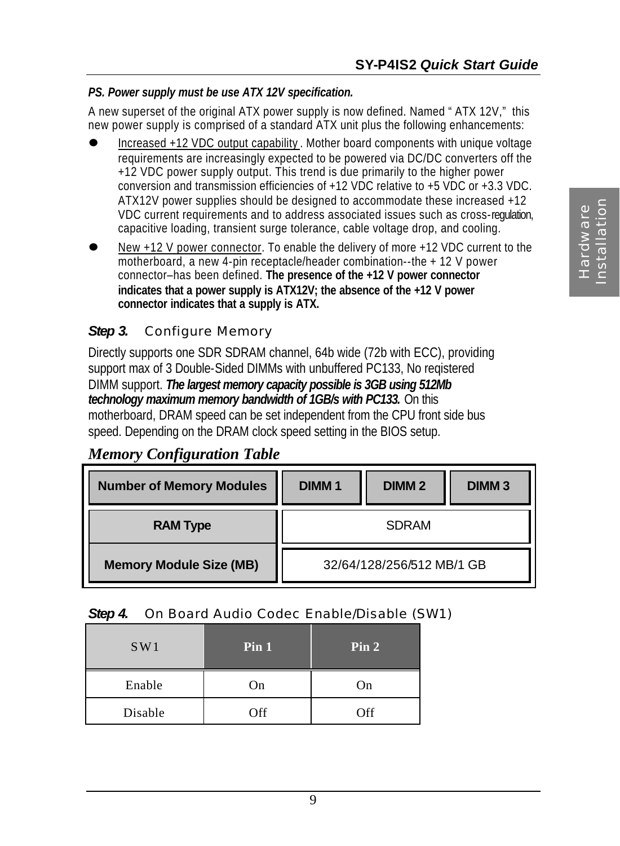#### *PS. Power supply must be use ATX 12V specification.*

A new superset of the original ATX power supply is now defined. Named "ATX 12V," this new power supply is comprised of a standard ATX unit plus the following enhancements:

- l Increased +12 VDC output capability . Mother board components with unique voltage requirements are increasingly expected to be powered via DC/DC converters off the +12 VDC power supply output. This trend is due primarily to the higher power conversion and transmission efficiencies of +12 VDC relative to +5 VDC or +3.3 VDC. ATX12V power supplies should be designed to accommodate these increased +12 VDC current requirements and to address associated issues such as cross-regulation, capacitive loading, transient surge tolerance, cable voltage drop, and cooling.
- l New +12 V power connector. To enable the delivery of more +12 VDC current to the motherboard, a new 4-pin receptacle/header combination--the + 12 V power connector–has been defined. **The presence of the +12 V power connector indicates that a power supply is ATX12V; the absence of the +12 V power connector indicates that a supply is ATX.**

#### *Step 3.* Configure Memory

Directly supports one SDR SDRAM channel, 64b wide (72b with ECC), providing support max of 3 Double-Sided DIMMs with unbuffered PC133, No reqistered DIMM support. *The largest memory capacity possible is 3GB using 512Mb technology maximum memory bandwidth of 1GB/s with PC133.* On this motherboard, DRAM speed can be set independent from the CPU front side bus speed. Depending on the DRAM clock speed setting in the BIOS setup.

#### *Memory Configuration Table*

| <b>Number of Memory Modules</b> | <b>DIMM1</b><br>DIMM <sub>2</sub><br><b>DIMM3</b> |  |  |  |  |  |
|---------------------------------|---------------------------------------------------|--|--|--|--|--|
| <b>RAM Type</b>                 | <b>SDRAM</b>                                      |  |  |  |  |  |
| <b>Memory Module Size (MB)</b>  | 32/64/128/256/512 MB/1 GB                         |  |  |  |  |  |

#### *Step 4.* On Board Audio Codec Enable/Disable (SW1)

| SW1     | Pin 1 | Pin 2 |
|---------|-------|-------|
| Enable  | On    | On    |
| Disable | Off   | Off   |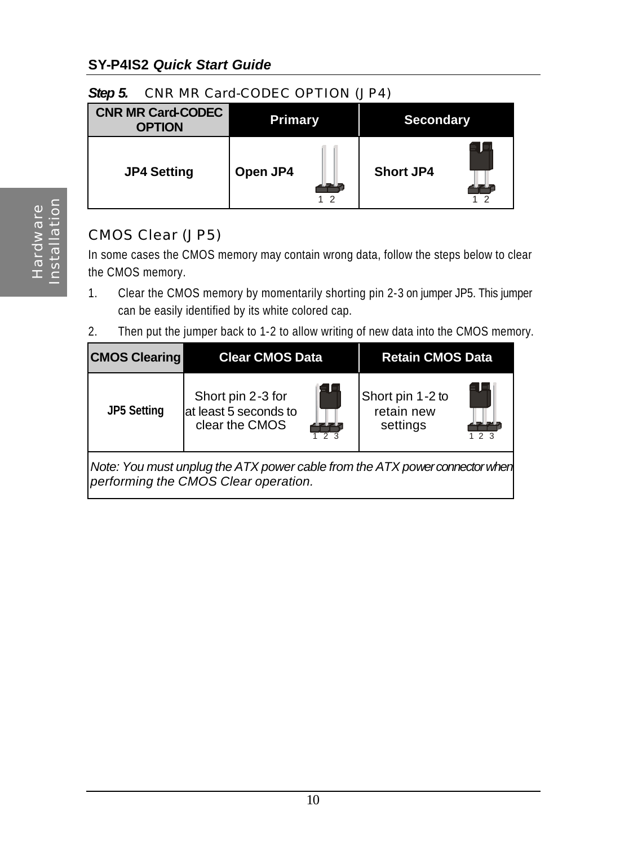#### **SY-P4IS2** *Quick Start Guide*

#### **Step 5.** CNR MR Card-CODEC OPTION (JP4)

| <b>CNR MR Card-CODEC</b><br><b>OPTION</b> | <b>Primary</b> | <b>Secondary</b> |
|-------------------------------------------|----------------|------------------|
| <b>JP4 Setting</b>                        | Open JP4<br>12 | <b>Short JP4</b> |

#### CMOS Clear (JP5)

In some cases the CMOS memory may contain wrong data, follow the steps below to clear the CMOS memory.

- 1. Clear the CMOS memory by momentarily shorting pin 2-3 on jumper JP5. This jumper can be easily identified by its white colored cap.
- 2. Then put the jumper back to 1-2 to allow writing of new data into the CMOS memory.

| <b>CMOS Clearing</b>                                                                                                | <b>Clear CMOS Data</b>                                       |                       | <b>Retain CMOS Data</b>                    |     |  |  |  |  |
|---------------------------------------------------------------------------------------------------------------------|--------------------------------------------------------------|-----------------------|--------------------------------------------|-----|--|--|--|--|
| <b>JP5 Setting</b>                                                                                                  | Short pin 2-3 for<br>at least 5 seconds to<br>clear the CMOS | E L<br>2 <sup>3</sup> | Short pin 1-2 to<br>retain new<br>settings | 123 |  |  |  |  |
| Note: You must unplug the ATX power cable from the ATX power connector when<br>performing the CMOS Clear operation. |                                                              |                       |                                            |     |  |  |  |  |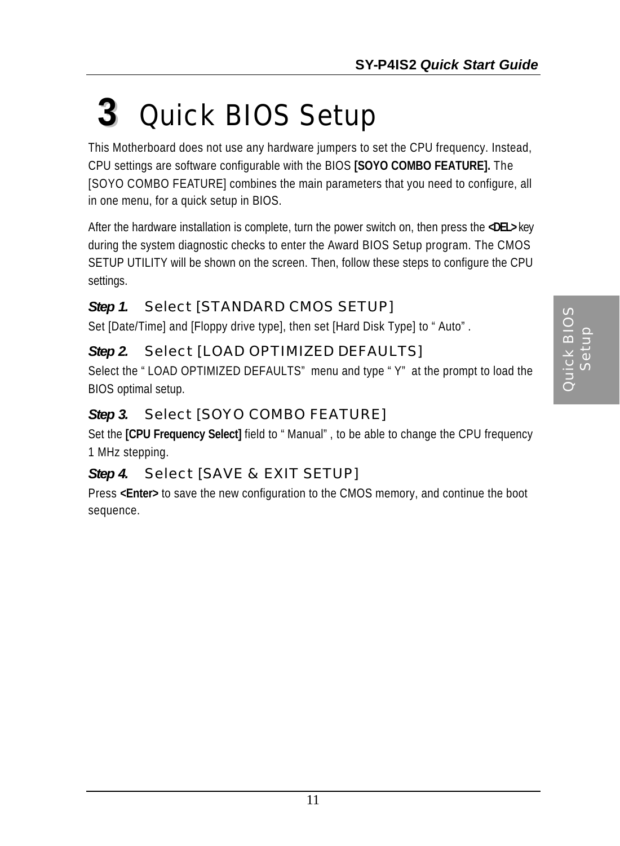## **3** *Quick BIOS Setup*

This Motherboard does not use any hardware jumpers to set the CPU frequency. Instead, CPU settings are software configurable with the BIOS **[SOYO COMBO FEATURE].** The [SOYO COMBO FEATURE] combines the main parameters that you need to configure, all in one menu, for a quick setup in BIOS.

After the hardware installation is complete, turn the power switch on, then press the **<DEL>** key during the system diagnostic checks to enter the Award BIOS Setup program. The CMOS SETUP UTILITY will be shown on the screen. Then, follow these steps to configure the CPU settings.

### *Step 1.* Select [STANDARD CMOS SETUP]

Set [Date/Time] and [Floppy drive type], then set [Hard Disk Type] to "Auto".

### *Step 2.* Select [LOAD OPTIMIZED DEFAULTS]

Select the "LOAD OPTIMIZED DEFAULTS" menu and type "Y" at the prompt to load the BIOS optimal setup.

## *Step 3.* Select [SOYO COMBO FEATURE]

Set the **[CPU Frequency Select]** field to "Manual", to be able to change the CPU frequency 1 MHz stepping.

## *Step 4.* Select [SAVE & EXIT SETUP]

Press **<Enter>** to save the new configuration to the CMOS memory, and continue the boot sequence.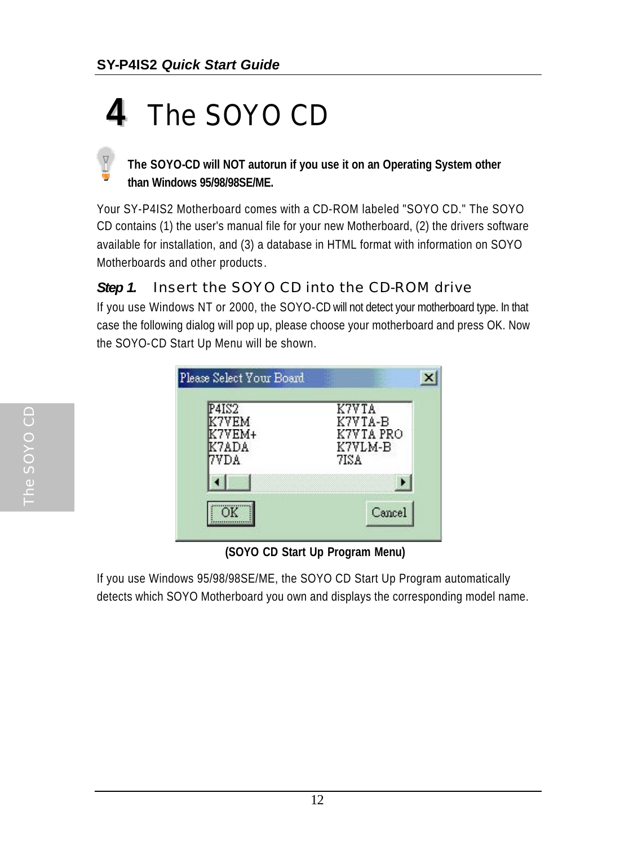## **4** *The SOYO CD*

#### **The SOYO-CD will NOT autorun if you use it on an Operating System other than Windows 95/98/98SE/ME.**

Your SY-P4IS2 Motherboard comes with a CD-ROM labeled "SOYO CD." The SOYO CD contains (1) the user's manual file for your new Motherboard, (2) the drivers software available for installation, and (3) a database in HTML format with information on SOYO Motherboards and other products .

#### **Step 1.** Insert the SOYO CD into the CD-ROM drive

If you use Windows NT or 2000, the SOYO-CD will not detect your motherboard type. In that case the following dialog will pop up, please choose your motherboard and press OK. Now the SOYO-CD Start Up Menu will be shown.

| P4IS2 | K7V TA    |
|-------|-----------|
| 7VEM  | K7VTA-B   |
| 7VEM+ | K7VTA PRO |
| 37ADA | K7VLM-B   |
| 'VDA  | 7IS A     |
|       |           |

 **(SOYO CD Start Up Program Menu)**

If you use Windows 95/98/98SE/ME, the SOYO CD Start Up Program automatically detects which SOYO Motherboard you own and displays the corresponding model name.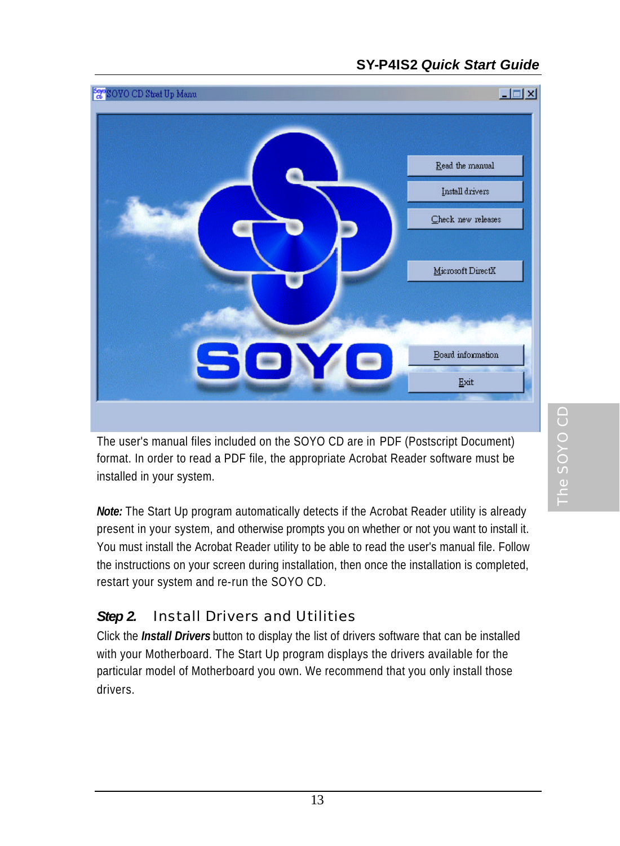#### **SY-P4IS2** *Quick Start Guide*



The user's manual files included on the SOYO CD are in PDF (Postscript Document) format. In order to read a PDF file, the appropriate Acrobat Reader software must be installed in your system.

*Note:* The Start Up program automatically detects if the Acrobat Reader utility is already present in your system, and otherwise prompts you on whether or not you want to install it. You must install the Acrobat Reader utility to be able to read the user's manual file. Follow the instructions on your screen during installation, then once the installation is completed, restart your system and re-run the SOYO CD.

#### *Step 2.* Install Drivers and Utilities

Click the *Install Drivers* button to display the list of drivers software that can be installed with your Motherboard. The Start Up program displays the drivers available for the particular model of Motherboard you own. We recommend that you only install those drivers.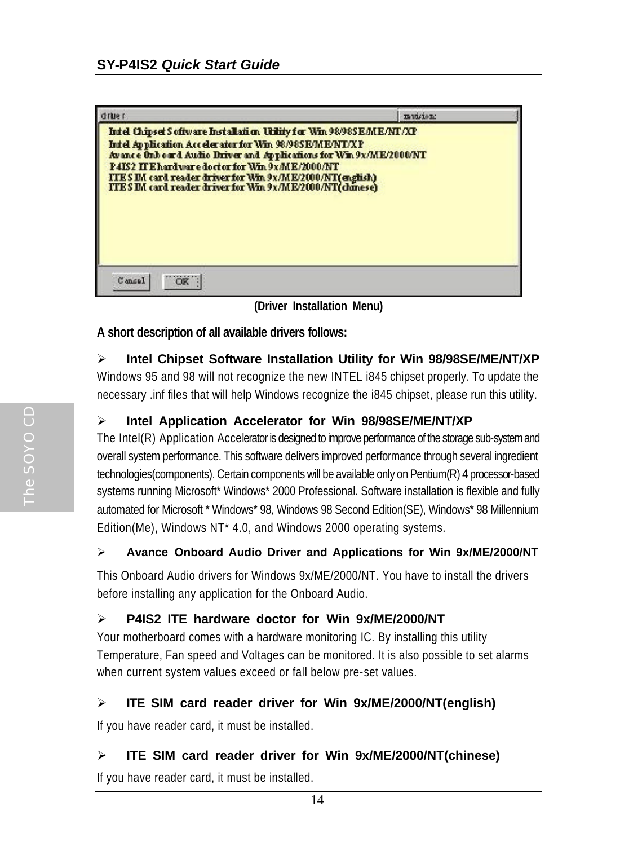| <b>Tue</b>                                                                                                                                                                                                                                                                                                                                                                         | musicn: |  |
|------------------------------------------------------------------------------------------------------------------------------------------------------------------------------------------------------------------------------------------------------------------------------------------------------------------------------------------------------------------------------------|---------|--|
| Intel Chipset Software Installation Utility for Win 98/985 E/ME/NT/XP<br>Intel Application Accelerator for Win 98/98SE/ME/NT/XP<br>Avance Onboard Audio Driver and Applications for Win 9x/ME/2000/NT<br>P4IS2 IT Ehardware doctor for Win 9x/ME/2000/NT<br>ITES IM card reader driver for Win 9x/ME/2000/NT(english)<br>ITES IM card reader driver for Win 9x/ME/2000/NT(chinese) |         |  |
|                                                                                                                                                                                                                                                                                                                                                                                    |         |  |

 **(Driver Installation Menu)**

#### **A short description of all available drivers follows:**

#### ÿ **Intel Chipset Software Installation Utility for Win 98/98SE/ME/NT/XP**

Windows 95 and 98 will not recognize the new INTEL i845 chipset properly. To update the necessary .inf files that will help Windows recognize the i845 chipset, please run this utility.

#### ÿ **Intel Application Accelerator for Win 98/98SE/ME/NT/XP**

The Intel(R) Application Accelerator is designed to improve performance of the storage sub-system and overall system performance. This software delivers improved performance through several ingredient technologies(components). Certain components will be available only on Pentium(R) 4 processor-based systems running Microsoft\* Windows\* 2000 Professional. Software installation is flexible and fully automated for Microsoft \* Windows\* 98, Windows 98 Second Edition(SE), Windows\* 98 Millennium Edition(Me), Windows NT\* 4.0, and Windows 2000 operating systems.

#### ÿ **Avance Onboard Audio Driver and Applications for Win 9x/ME/2000/NT**

This Onboard Audio drivers for Windows 9x/ME/2000/NT. You have to install the drivers before installing any application for the Onboard Audio.

#### ÿ **P4IS2 ITE hardware doctor for Win 9x/ME/2000/NT**

Your motherboard comes with a hardware monitoring IC. By installing this utility Temperature, Fan speed and Voltages can be monitored. It is also possible to set alarms when current system values exceed or fall below pre-set values.

#### ÿ **ITE SIM card reader driver for Win 9x/ME/2000/NT(english)**

If you have reader card, it must be installed.

#### ÿ **ITE SIM card reader driver for Win 9x/ME/2000/NT(chinese)**

If you have reader card, it must be installed.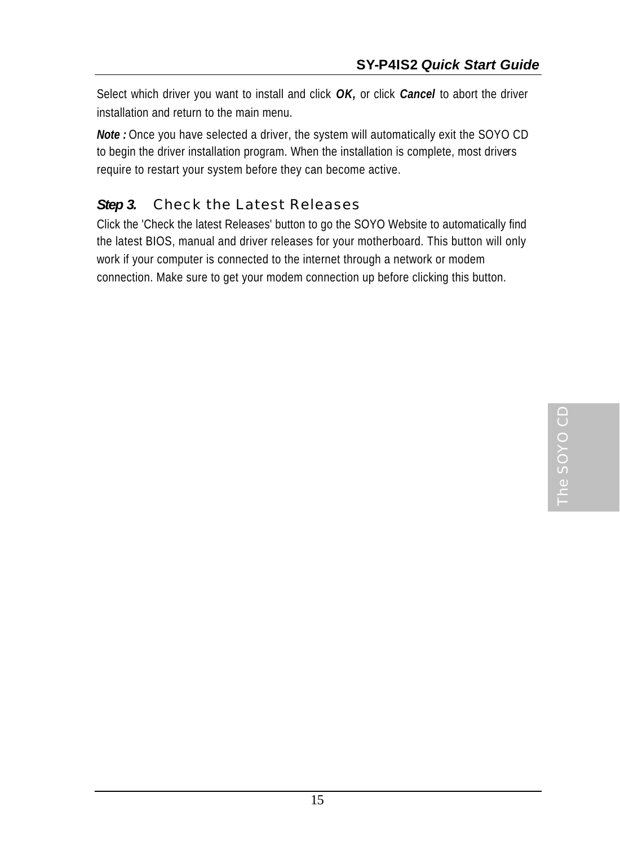Select which driver you want to install and click *OK,* or click *Cancel* to abort the driver installation and return to the main menu.

*Note :* Once you have selected a driver, the system will automatically exit the SOYO CD to begin the driver installation program. When the installation is complete, most drivers require to restart your system before they can become active.

#### **Step 3.** Check the Latest Releases

Click the 'Check the latest Releases' button to go the SOYO Website to automatically find the latest BIOS, manual and driver releases for your motherboard. This button will only work if your computer is connected to the internet through a network or modem connection. Make sure to get your modem connection up before clicking this button.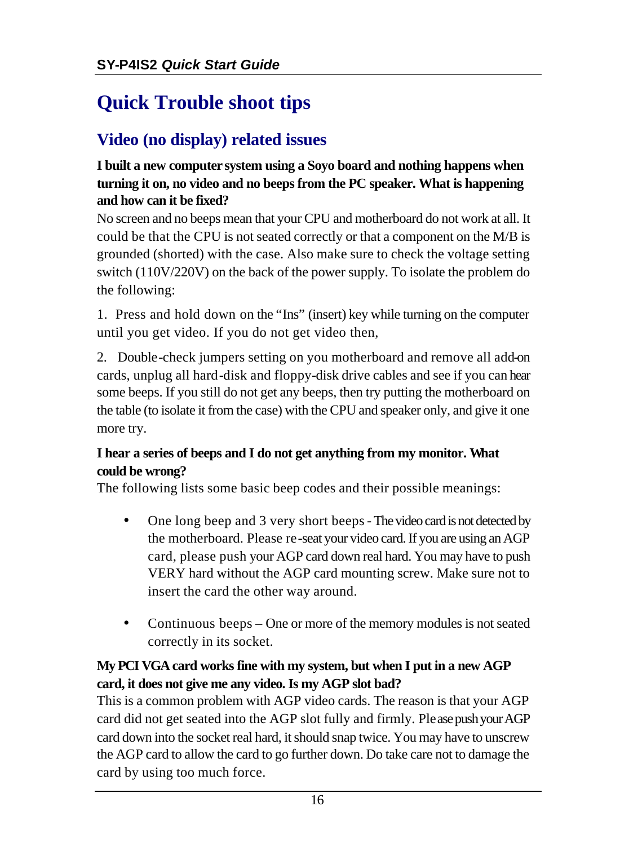## **Quick Trouble shoot tips**

## **Video (no display) related issues**

#### **I built a new computer system using a Soyo board and nothing happens when turning it on, no video and no beeps from the PC speaker. What is happening and how can it be fixed?**

No screen and no beeps mean that your CPU and motherboard do not work at all. It could be that the CPU is not seated correctly or that a component on the M/B is grounded (shorted) with the case. Also make sure to check the voltage setting switch (110V/220V) on the back of the power supply. To isolate the problem do the following:

1. Press and hold down on the "Ins" (insert) key while turning on the computer until you get video. If you do not get video then,

2. Double-check jumpers setting on you motherboard and remove all add-on cards, unplug all hard-disk and floppy-disk drive cables and see if you can hear some beeps. If you still do not get any beeps, then try putting the motherboard on the table (to isolate it from the case) with the CPU and speaker only, and give it one more try.

#### **I hear a series of beeps and I do not get anything from my monitor. What could be wrong?**

The following lists some basic beep codes and their possible meanings:

- One long beep and 3 very short beeps The video card is not detected by the motherboard. Please re-seat your video card. If you are using an AGP card, please push your AGP card down real hard. You may have to push VERY hard without the AGP card mounting screw. Make sure not to insert the card the other way around.
- Continuous beeps One or more of the memory modules is not seated correctly in its socket.

#### **My PCI VGA card works fine with my system, but when I put in a new AGP card, it does not give me any video. Is my AGP slot bad?**

This is a common problem with AGP video cards. The reason is that your AGP card did not get seated into the AGP slot fully and firmly. Please push your AGP card down into the socket real hard, it should snap twice. You may have to unscrew the AGP card to allow the card to go further down. Do take care not to damage the card by using too much force.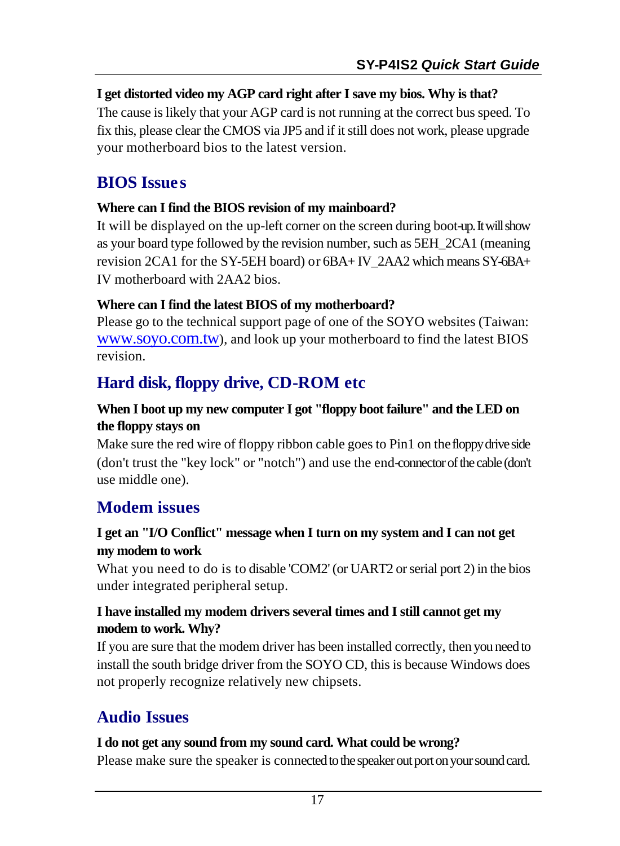#### **I get distorted video my AGP card right after I save my bios. Why is that?**

The cause is likely that your AGP card is not running at the correct bus speed. To fix this, please clear the CMOS via JP5 and if it still does not work, please upgrade your motherboard bios to the latest version.

## **BIOS Issue s**

#### **Where can I find the BIOS revision of my mainboard?**

It will be displayed on the up-left corner on the screen during boot-up. It will show as your board type followed by the revision number, such as 5EH\_2CA1 (meaning revision 2CA1 for the SY-5EH board) or 6BA+ IV\_2AA2 which means SY-6BA+ IV motherboard with 2AA2 bios.

#### **Where can I find the latest BIOS of my motherboard?**

Please go to the technical support page of one of the SOYO websites (Taiwan: www.soyo.com.tw), and look up your motherboard to find the latest BIOS revision.

## **Hard disk, floppy drive, CD-ROM etc**

#### **When I boot up my new computer I got "floppy boot failure" and the LED on the floppy stays on**

Make sure the red wire of floppy ribbon cable goes to Pin1 on the floppy drive side (don't trust the "key lock" or "notch") and use the end-connector of the cable (don't use middle one).

## **Modem issues**

#### **I get an "I/O Conflict" message when I turn on my system and I can not get my modem to work**

What you need to do is to disable 'COM2' (or UART2 or serial port 2) in the bios under integrated peripheral setup.

#### **I have installed my modem drivers several times and I still cannot get my modem to work. Why?**

If you are sure that the modem driver has been installed correctly, then you need to install the south bridge driver from the SOYO CD, this is because Windows does not properly recognize relatively new chipsets.

## **Audio Issues**

#### **I do not get any sound from my sound card. What could be wrong?**

Please make sure the speaker is connected to the speaker out port on your sound card.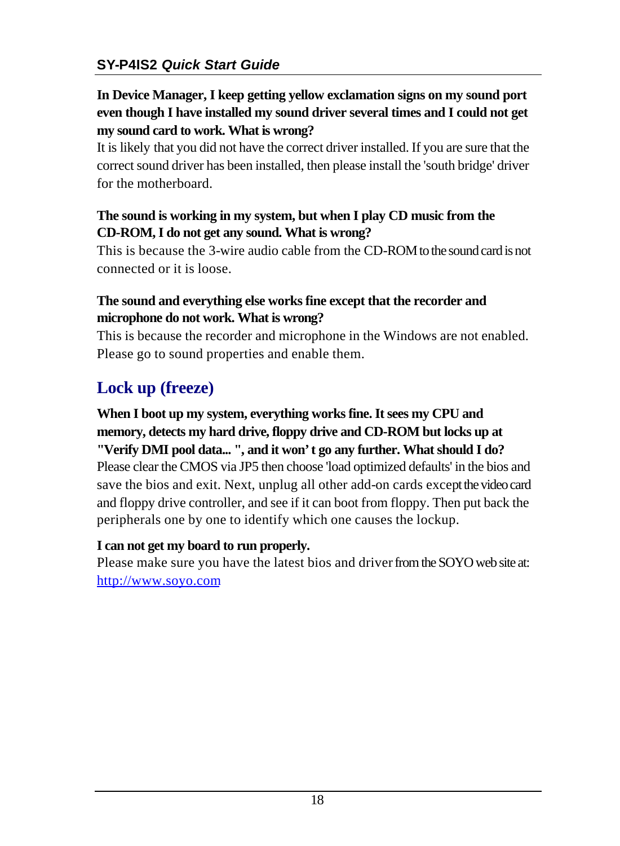#### **In Device Manager, I keep getting yellow exclamation signs on my sound port even though I have installed my sound driver several times and I could not get my sound card to work. What is wrong?**

It is likely that you did not have the correct driver installed. If you are sure that the correct sound driver has been installed, then please install the 'south bridge' driver for the motherboard.

#### **The sound is working in my system, but when I play CD music from the CD-ROM, I do not get any sound. What is wrong?**

This is because the 3-wire audio cable from the CD-ROM to the sound card is not connected or it is loose.

#### **The sound and everything else works fine except that the recorder and microphone do not work. What is wrong?**

This is because the recorder and microphone in the Windows are not enabled. Please go to sound properties and enable them.

## **Lock up (freeze)**

#### **When I boot up my system, everything works fine. It sees my CPU and memory, detects my hard drive, floppy drive and CD-ROM but locks up at "Verify DMI pool data... ", and it won't go any further. What should I do?** Please clear the CMOS via JP5 then choose 'load optimized defaults' in the bios and

save the bios and exit. Next, unplug all other add-on cards except the video card and floppy drive controller, and see if it can boot from floppy. Then put back the peripherals one by one to identify which one causes the lockup.

#### **I can not get my board to run properly.**

Please make sure you have the latest bios and driver from the SOYO web site at: http://www.soyo.com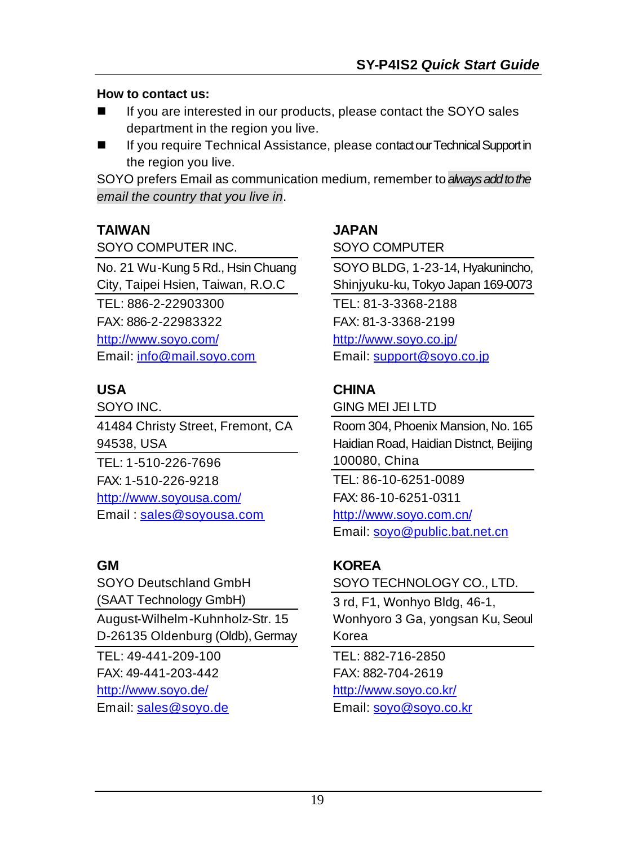#### **How to contact us:**

- If you are interested in our products, please contact the SOYO sales department in the region you live.
- If you require Technical Assistance, please contact our Technical Support in the region you live.

SOYO prefers Email as communication medium, remember to *always add to the email the country that you live in*.

#### **TAIWAN**

SOYO COMPUTER INC.

No. 21 Wu-Kung 5 Rd., Hsin Chuang City, Taipei Hsien, Taiwan, R.O.C TEL: 886-2-22903300 FAX: 886-2-22983322 http://www.soyo.com/ Email: info@mail.soyo.com

#### **USA**

SOYO INC. 41484 Christy Street, Fremont, CA 94538, USA TEL: 1-510-226-7696 FAX: 1-510-226-9218 http://www.soyousa.com/ Email: sales@soyousa.com

#### **GM**

SOYO Deutschland GmbH (SAAT Technology GmbH) August-Wilhelm-Kuhnholz-Str. 15 D-26135 Oldenburg (Oldb), Germay TEL: 49-441-209-100 FAX: 49-441-203-442 http://www.soyo.de/

Email: sales@soyo.de

#### **JAPAN**

SOYO COMPUTER

SOYO BLDG, 1-23-14, Hyakunincho, Shinjyuku-ku, Tokyo Japan 169-0073 TEL: 81-3-3368-2188 FAX: 81-3-3368-2199 http://www.soyo.co.jp/ Email: support@soyo.co.jp

#### **CHINA**

GING MEI JEI LTD

Room 304, Phoenix Mansion, No. 165 Haidian Road, Haidian Distnct, Beijing 100080, China TEL: 86-10-6251-0089 FAX: 86-10-6251-0311 http://www.soyo.com.cn/ Email: soyo@public.bat.net.cn

#### **KOREA**

SOYO TECHNOLOGY CO., LTD.

3 rd, F1, Wonhyo Bldg, 46-1, Wonhyoro 3 Ga, yongsan Ku, Seoul Korea

TEL: 882-716-2850 FAX: 882-704-2619 http://www.soyo.co.kr/ Email: soyo@soyo.co.kr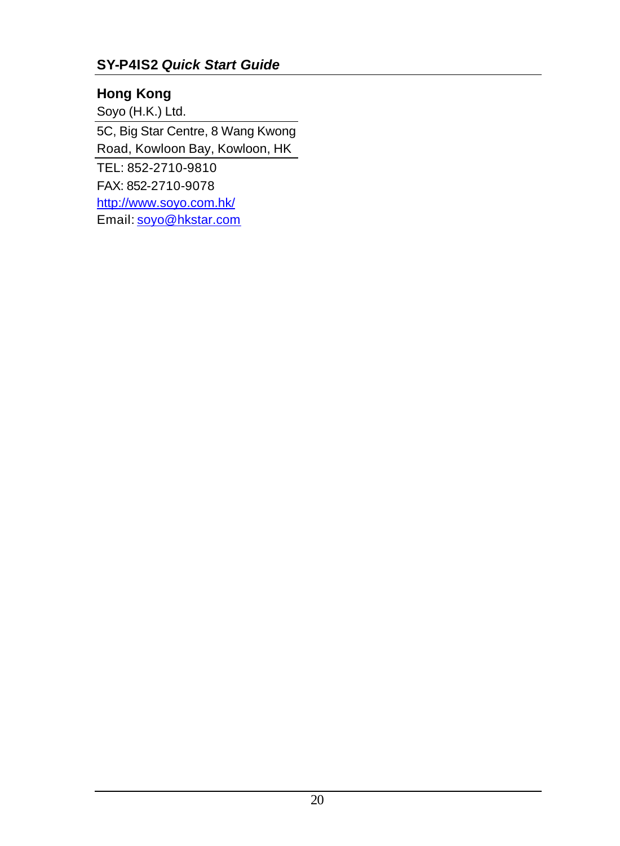#### **SY-P4IS2** *Quick Start Guide*

#### **Hong Kong**

Soyo (H.K.) Ltd.

5C, Big Star Centre, 8 Wang Kwong Road, Kowloon Bay, Kowloon, HK TEL: 852-2710-9810 FAX: 852-2710-9078 http://www.soyo.com.hk/

Email: soyo@hkstar.com